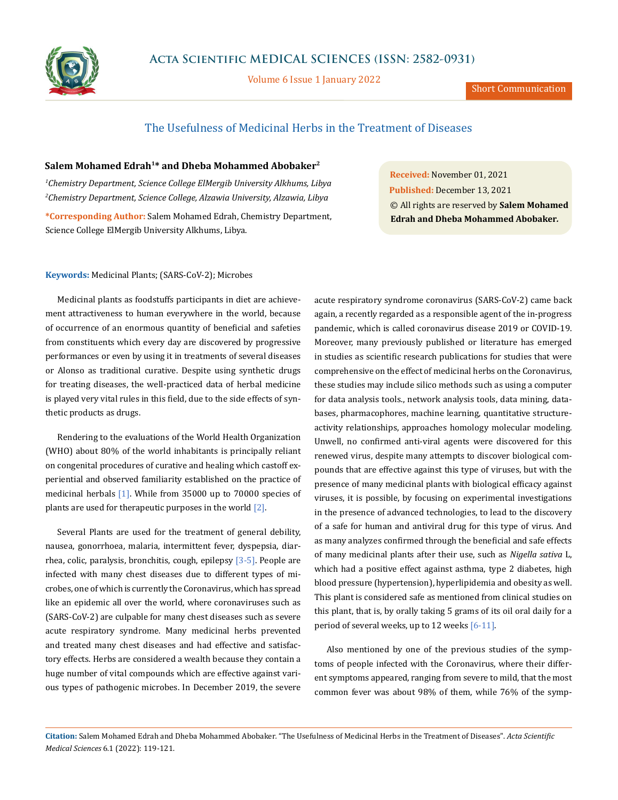

Volume 6 Issue 1 January 2022

Short Communication

# The Usefulness of Medicinal Herbs in the Treatment of Diseases

## **Salem Mohamed Edrah1\* and Dheba Mohammed Abobaker2**

*1 Chemistry Department, Science College ElMergib University Alkhums, Libya 2 Chemistry Department, Science College, Alzawia University, Alzawia, Libya* **\*Corresponding Author:** Salem Mohamed Edrah, Chemistry Department, Science College ElMergib University Alkhums, Libya.

**Received:** November 01, 2021 **Published:** December 13, 2021 © All rights are reserved by **Salem Mohamed Edrah and Dheba Mohammed Abobaker***.*

#### **Keywords:** Medicinal Plants; (SARS-CoV-2); Microbes

Medicinal plants as foodstuffs participants in diet are achievement attractiveness to human everywhere in the world, because of occurrence of an enormous quantity of beneficial and safeties from constituents which every day are discovered by progressive performances or even by using it in treatments of several diseases or Alonso as traditional curative. Despite using synthetic drugs for treating diseases, the well-practiced data of herbal medicine is played very vital rules in this field, due to the side effects of synthetic products as drugs.

Rendering to the evaluations of the World Health Organization (WHO) about 80% of the world inhabitants is principally reliant on congenital procedures of curative and healing which castoff experiential and observed familiarity established on the practice of medicinal herbals [1]. While from 35000 up to 70000 species of plants are used for therapeutic purposes in the world [2].

Several Plants are used for the treatment of general debility, nausea, gonorrhoea, malaria, intermittent fever, dyspepsia, diarrhea, colic, paralysis, bronchitis, cough, epilepsy  $[3-5]$ . People are infected with many chest diseases due to different types of microbes, one of which is currently the Coronavirus, which has spread like an epidemic all over the world, where coronaviruses such as (SARS-CoV-2) are culpable for many chest diseases such as severe acute respiratory syndrome. Many medicinal herbs prevented and treated many chest diseases and had effective and satisfactory effects. Herbs are considered a wealth because they contain a huge number of vital compounds which are effective against various types of pathogenic microbes. In December 2019, the severe acute respiratory syndrome coronavirus (SARS-CoV-2) came back again, a recently regarded as a responsible agent of the in-progress pandemic, which is called coronavirus disease 2019 or COVID-19. Moreover, many previously published or literature has emerged in studies as scientific research publications for studies that were comprehensive on the effect of medicinal herbs on the Coronavirus, these studies may include silico methods such as using a computer for data analysis tools., network analysis tools, data mining, databases, pharmacophores, machine learning, quantitative structureactivity relationships, approaches homology molecular modeling. Unwell, no confirmed anti-viral agents were discovered for this renewed virus, despite many attempts to discover biological compounds that are effective against this type of viruses, but with the presence of many medicinal plants with biological efficacy against viruses, it is possible, by focusing on experimental investigations in the presence of advanced technologies, to lead to the discovery of a safe for human and antiviral drug for this type of virus. And as many analyzes confirmed through the beneficial and safe effects of many medicinal plants after their use, such as *Nigella sativa* L, which had a positive effect against asthma, type 2 diabetes, high blood pressure (hypertension), hyperlipidemia and obesity as well. This plant is considered safe as mentioned from clinical studies on this plant, that is, by orally taking 5 grams of its oil oral daily for a period of several weeks, up to 12 weeks [6-11].

Also mentioned by one of the previous studies of the symptoms of people infected with the Coronavirus, where their different symptoms appeared, ranging from severe to mild, that the most common fever was about 98% of them, while 76% of the symp-

**Citation:** Salem Mohamed Edrah and Dheba Mohammed Abobaker*.* "The Usefulness of Medicinal Herbs in the Treatment of Diseases". *Acta Scientific Medical Sciences* 6.1 (2022): 119-121.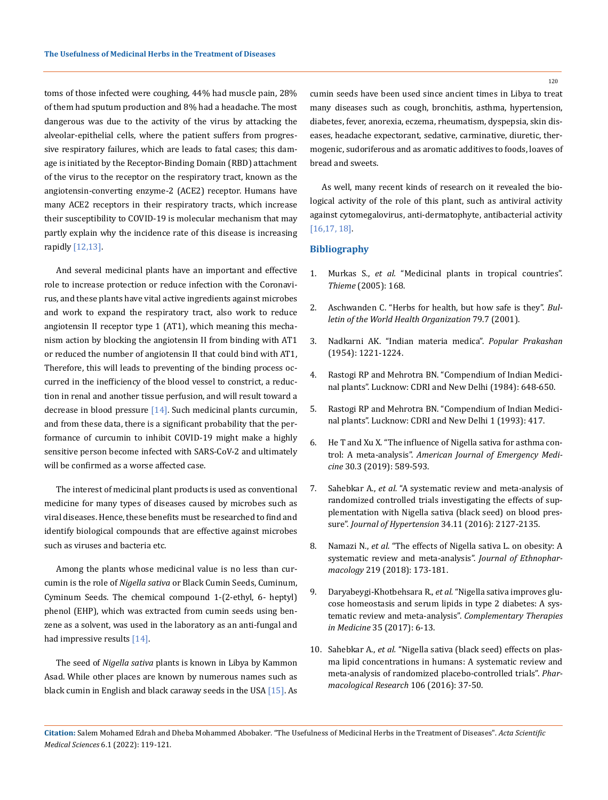toms of those infected were coughing, 44% had muscle pain, 28% of them had sputum production and 8% had a headache. The most dangerous was due to the activity of the virus by attacking the alveolar-epithelial cells, where the patient suffers from progressive respiratory failures, which are leads to fatal cases; this damage is initiated by the Receptor-Binding Domain (RBD) attachment of the virus to the receptor on the respiratory tract, known as the angiotensin-converting enzyme-2 (ACE2) receptor. Humans have many ACE2 receptors in their respiratory tracts, which increase their susceptibility to COVID-19 is molecular mechanism that may partly explain why the incidence rate of this disease is increasing rapidly [12,13].

And several medicinal plants have an important and effective role to increase protection or reduce infection with the Coronavirus, and these plants have vital active ingredients against microbes and work to expand the respiratory tract, also work to reduce angiotensin II receptor type 1 (AT1), which meaning this mechanism action by blocking the angiotensin II from binding with AT1 or reduced the number of angiotensin II that could bind with AT1, Therefore, this will leads to preventing of the binding process occurred in the inefficiency of the blood vessel to constrict, a reduction in renal and another tissue perfusion, and will result toward a decrease in blood pressure  $[14]$ . Such medicinal plants curcumin, and from these data, there is a significant probability that the performance of curcumin to inhibit COVID-19 might make a highly sensitive person become infected with SARS-CoV-2 and ultimately will be confirmed as a worse affected case.

The interest of medicinal plant products is used as conventional medicine for many types of diseases caused by microbes such as viral diseases. Hence, these benefits must be researched to find and identify biological compounds that are effective against microbes such as viruses and bacteria etc.

Among the plants whose medicinal value is no less than curcumin is the role of *Nigella sativa* or Black Cumin Seeds, Cuminum, Cyminum Seeds. The chemical compound 1-(2-ethyl, 6- heptyl) phenol (EHP), which was extracted from cumin seeds using benzene as a solvent, was used in the laboratory as an anti-fungal and had impressive results [14].

The seed of *Nigella sativa* plants is known in Libya by Kammon Asad. While other places are known by numerous names such as black cumin in English and black caraway seeds in the USA [15]. As cumin seeds have been used since ancient times in Libya to treat many diseases such as cough, bronchitis, asthma, hypertension, diabetes, fever, anorexia, eczema, rheumatism, dyspepsia, skin diseases, headache expectorant, sedative, carminative, diuretic, thermogenic, sudoriferous and as aromatic additives to foods, loaves of

As well, many recent kinds of research on it revealed the biological activity of the role of this plant, such as antiviral activity against cytomegalovirus, anti-dermatophyte, antibacterial activity [16,17, 18].

## **Bibliography**

bread and sweets.

- 1. Murkas S., *et al.* ["Medicinal plants in tropical countries".](https://www.thieme.com/books-main/complementary-medicine/product/3042-medicinal-plants-in-tropical-countries)  *Thieme* [\(2005\): 168.](https://www.thieme.com/books-main/complementary-medicine/product/3042-medicinal-plants-in-tropical-countries)
- 2. [Aschwanden C. "Herbs for health, but how safe is they".](https://www.ncbi.nlm.nih.gov/pmc/articles/PMC2566478/) *Bul[letin of the World Health Organization](https://www.ncbi.nlm.nih.gov/pmc/articles/PMC2566478/)* 79.7 (2001).
- 3. Nadkarni AK. "Indian materia medica". *Popular Prakashan* (1954): 1221-1224.
- 4. [Rastogi RP and Mehrotra BN. "Compendium of Indian Medici](https://books.google.co.in/books/about/Compendium_of_Indian_Medicinal_Plants_19.html?id=tyINAQAAMAAJ&redir_esc=y)[nal plants". Lucknow: CDRI and New Delhi \(1984\): 648-650.](https://books.google.co.in/books/about/Compendium_of_Indian_Medicinal_Plants_19.html?id=tyINAQAAMAAJ&redir_esc=y)
- 5. [Rastogi RP and Mehrotra BN. "Compendium of Indian Medici](file:///E:/ANUSHA/Acta/JANAUARY/ASMS/ASMS-21-SC-401/Compendium%20of%20Indian%20Medicinal%20plants)[nal plants". Lucknow: CDRI and New Delhi 1 \(1993\): 417.](file:///E:/ANUSHA/Acta/JANAUARY/ASMS/ASMS-21-SC-401/Compendium%20of%20Indian%20Medicinal%20plants)
- 6. [He T and Xu X. "The influence of Nigella sativa for asthma con](https://www.sciencedirect.com/science/article/abs/pii/S0735675719307752)trol: A meta-analysis". *[American Journal of Emergency Medi](https://www.sciencedirect.com/science/article/abs/pii/S0735675719307752)cine* [30.3 \(2019\): 589-593.](https://www.sciencedirect.com/science/article/abs/pii/S0735675719307752)
- 7. Sahebkar A., *et al.* ["A systematic review and meta-analysis of](https://pubmed.ncbi.nlm.nih.gov/27512971/)  [randomized controlled trials investigating the effects of sup](https://pubmed.ncbi.nlm.nih.gov/27512971/)[plementation with Nigella sativa \(black seed\) on blood pres](https://pubmed.ncbi.nlm.nih.gov/27512971/)sure". *Journal of Hypertension* [34.11 \(2016\): 2127-2135.](https://pubmed.ncbi.nlm.nih.gov/27512971/)
- 8. Namazi N., *et al.* ["The effects of Nigella sativa L. on obesity: A](https://pubmed.ncbi.nlm.nih.gov/29559374/)  [systematic review and meta-analysis".](https://pubmed.ncbi.nlm.nih.gov/29559374/) *Journal of Ethnopharmacology* [219 \(2018\): 173-181.](https://pubmed.ncbi.nlm.nih.gov/29559374/)
- 9. Daryabeygi-Khotbehsara R., *et al.* ["Nigella sativa improves glu](https://pubmed.ncbi.nlm.nih.gov/29154069/)[cose homeostasis and serum lipids in type 2 diabetes: A sys](https://pubmed.ncbi.nlm.nih.gov/29154069/)[tematic review and meta-analysis".](https://pubmed.ncbi.nlm.nih.gov/29154069/) *Complementary Therapies in Medicine* [35 \(2017\): 6-13.](https://pubmed.ncbi.nlm.nih.gov/29154069/)
- 10. Sahebkar A., *et al.* ["Nigella sativa \(black seed\) effects on plas](https://pubmed.ncbi.nlm.nih.gov/26875640/)[ma lipid concentrations in humans: A systematic review and](https://pubmed.ncbi.nlm.nih.gov/26875640/)  [meta-analysis of randomized placebo-controlled trials".](https://pubmed.ncbi.nlm.nih.gov/26875640/) *Phar[macological Research](https://pubmed.ncbi.nlm.nih.gov/26875640/)* 106 (2016): 37-50.

120

**Citation:** Salem Mohamed Edrah and Dheba Mohammed Abobaker*.* "The Usefulness of Medicinal Herbs in the Treatment of Diseases". *Acta Scientific Medical Sciences* 6.1 (2022): 119-121.